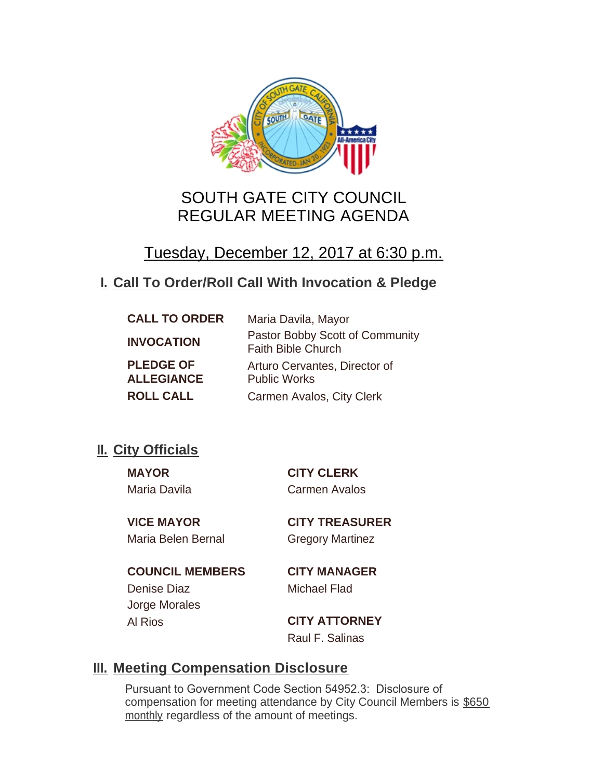

# SOUTH GATE CITY COUNCIL REGULAR MEETING AGENDA

# Tuesday, December 12, 2017 at 6:30 p.m.

# **Call To Order/Roll Call With Invocation & Pledge I.**

| <b>CALL TO ORDER</b>                  | Maria Davila, Mayor                                          |
|---------------------------------------|--------------------------------------------------------------|
| <b>INVOCATION</b>                     | Pastor Bobby Scott of Community<br><b>Faith Bible Church</b> |
| <b>PLEDGE OF</b><br><b>ALLEGIANCE</b> | Arturo Cervantes, Director of<br><b>Public Works</b>         |
| <b>ROLL CALL</b>                      | Carmen Avalos, City Clerk                                    |

# **II.** City Officials

Maria Davila Carmen Avalos

**MAYOR CITY CLERK**

Maria Belen Bernal Gregory Martinez

**VICE MAYOR CITY TREASURER**

**COUNCIL MEMBERS CITY MANAGER** Denise Diaz Michael Flad Jorge Morales

Al Rios **CITY ATTORNEY** Raul F. Salinas

# **Meeting Compensation Disclosure III.**

Pursuant to Government Code Section 54952.3: Disclosure of compensation for meeting attendance by City Council Members is \$650 monthly regardless of the amount of meetings.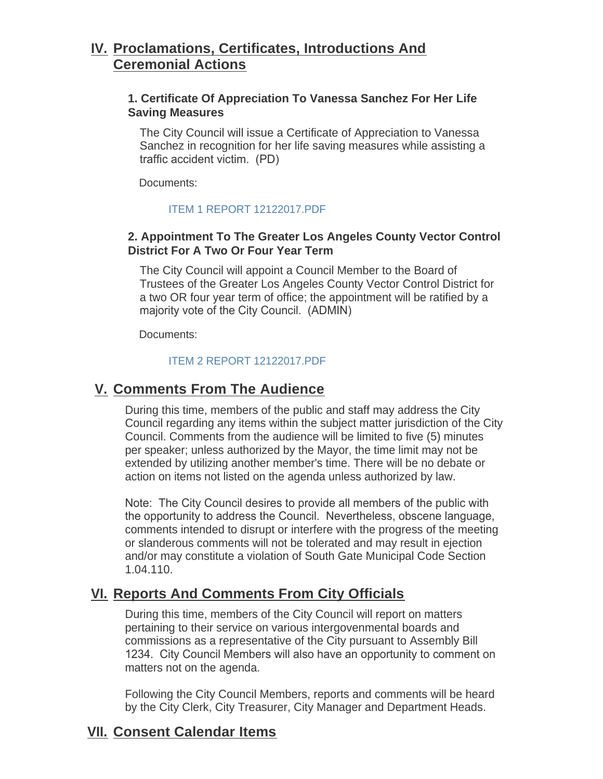# **Proclamations, Certificates, Introductions And IV. Ceremonial Actions**

## **1. Certificate Of Appreciation To Vanessa Sanchez For Her Life Saving Measures**

The City Council will issue a Certificate of Appreciation to Vanessa Sanchez in recognition for her life saving measures while assisting a traffic accident victim. (PD)

Documents:

#### [ITEM 1 REPORT 12122017.PDF](http://www.cityofsouthgate.org/AgendaCenter/ViewFile/Item/5213?fileID=11156)

# **2. Appointment To The Greater Los Angeles County Vector Control District For A Two Or Four Year Term**

The City Council will appoint a Council Member to the Board of Trustees of the Greater Los Angeles County Vector Control District for a two OR four year term of office; the appointment will be ratified by a majority vote of the City Council. (ADMIN)

Documents:

#### [ITEM 2 REPORT 12122017.PDF](http://www.cityofsouthgate.org/AgendaCenter/ViewFile/Item/5199?fileID=11142)

# **Comments From The Audience V.**

During this time, members of the public and staff may address the City Council regarding any items within the subject matter jurisdiction of the City Council. Comments from the audience will be limited to five (5) minutes per speaker; unless authorized by the Mayor, the time limit may not be extended by utilizing another member's time. There will be no debate or action on items not listed on the agenda unless authorized by law.

Note: The City Council desires to provide all members of the public with the opportunity to address the Council. Nevertheless, obscene language, comments intended to disrupt or interfere with the progress of the meeting or slanderous comments will not be tolerated and may result in ejection and/or may constitute a violation of South Gate Municipal Code Section 1.04.110.

# **Reports And Comments From City Officials VI.**

During this time, members of the City Council will report on matters pertaining to their service on various intergovenmental boards and commissions as a representative of the City pursuant to Assembly Bill 1234. City Council Members will also have an opportunity to comment on matters not on the agenda.

Following the City Council Members, reports and comments will be heard by the City Clerk, City Treasurer, City Manager and Department Heads.

# **Consent Calendar Items VII.**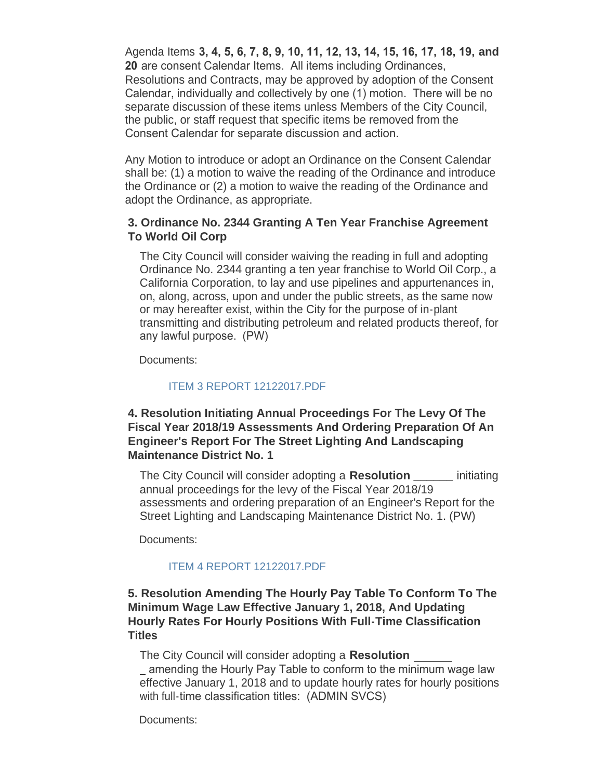Agenda Items **3, 4, 5, 6, 7, 8, 9, 10, 11, 12, 13, 14, 15, 16, 17, 18, 19, and 20** are consent Calendar Items. All items including Ordinances, Resolutions and Contracts, may be approved by adoption of the Consent Calendar, individually and collectively by one (1) motion. There will be no separate discussion of these items unless Members of the City Council, the public, or staff request that specific items be removed from the Consent Calendar for separate discussion and action.

Any Motion to introduce or adopt an Ordinance on the Consent Calendar shall be: (1) a motion to waive the reading of the Ordinance and introduce the Ordinance or (2) a motion to waive the reading of the Ordinance and adopt the Ordinance, as appropriate.

### **3. Ordinance No. 2344 Granting A Ten Year Franchise Agreement To World Oil Corp**

The City Council will consider waiving the reading in full and adopting Ordinance No. 2344 granting a ten year franchise to World Oil Corp., a California Corporation, to lay and use pipelines and appurtenances in, on, along, across, upon and under the public streets, as the same now or may hereafter exist, within the City for the purpose of in-plant transmitting and distributing petroleum and related products thereof, for any lawful purpose. (PW)

Documents:

#### [ITEM 3 REPORT 12122017.PDF](http://www.cityofsouthgate.org/AgendaCenter/ViewFile/Item/5200?fileID=11143)

### **4. Resolution Initiating Annual Proceedings For The Levy Of The Fiscal Year 2018/19 Assessments And Ordering Preparation Of An Engineer's Report For The Street Lighting And Landscaping Maintenance District No. 1**

The City Council will consider adopting a **Resolution \_\_\_\_\_\_** initiating annual proceedings for the levy of the Fiscal Year 2018/19 assessments and ordering preparation of an Engineer's Report for the Street Lighting and Landscaping Maintenance District No. 1. (PW)

Documents:

#### [ITEM 4 REPORT 12122017.PDF](http://www.cityofsouthgate.org/AgendaCenter/ViewFile/Item/5201?fileID=11144)

#### **5. Resolution Amending The Hourly Pay Table To Conform To The Minimum Wage Law Effective January 1, 2018, And Updating Hourly Rates For Hourly Positions With Full-Time Classification Titles**

The City Council will consider adopting a **Resolution** 

 amending the Hourly Pay Table to conform to the minimum wage law effective January 1, 2018 and to update hourly rates for hourly positions with full-time classification titles: (ADMIN SVCS)

Documents: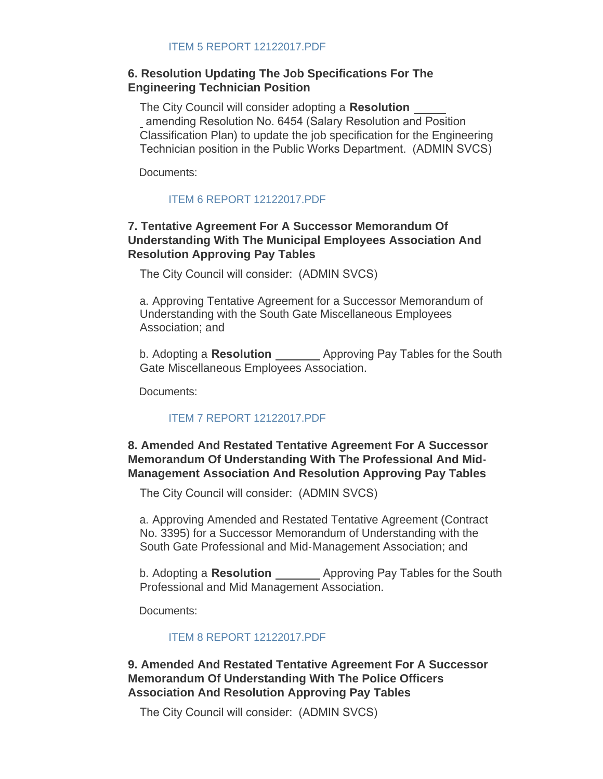### **6. Resolution Updating The Job Specifications For The Engineering Technician Position**

The City Council will consider adopting a **Resolution**  amending Resolution No. 6454 (Salary Resolution and Position Classification Plan) to update the job specification for the Engineering Technician position in the Public Works Department. (ADMIN SVCS)

Documents:

### [ITEM 6 REPORT 12122017.PDF](http://www.cityofsouthgate.org/AgendaCenter/ViewFile/Item/5214?fileID=11157)

# **7. Tentative Agreement For A Successor Memorandum Of Understanding With The Municipal Employees Association And Resolution Approving Pay Tables**

The City Council will consider: (ADMIN SVCS)

a. Approving Tentative Agreement for a Successor Memorandum of Understanding with the South Gate Miscellaneous Employees Association; and

b. Adopting a **Resolution**  Approving Pay Tables for the South Gate Miscellaneous Employees Association.

Documents:

### [ITEM 7 REPORT 12122017.PDF](http://www.cityofsouthgate.org/AgendaCenter/ViewFile/Item/5226?fileID=11163)

# **8. Amended And Restated Tentative Agreement For A Successor Memorandum Of Understanding With The Professional And Mid-Management Association And Resolution Approving Pay Tables**

The City Council will consider: (ADMIN SVCS)

a. Approving Amended and Restated Tentative Agreement (Contract No. 3395) for a Successor Memorandum of Understanding with the South Gate Professional and Mid-Management Association; and

b. Adopting a **Resolution**  Approving Pay Tables for the South Professional and Mid Management Association.

Documents:

[ITEM 8 REPORT 12122017.PDF](http://www.cityofsouthgate.org/AgendaCenter/ViewFile/Item/5229?fileID=11165)

**9. Amended And Restated Tentative Agreement For A Successor Memorandum Of Understanding With The Police Officers Association And Resolution Approving Pay Tables**

The City Council will consider: (ADMIN SVCS)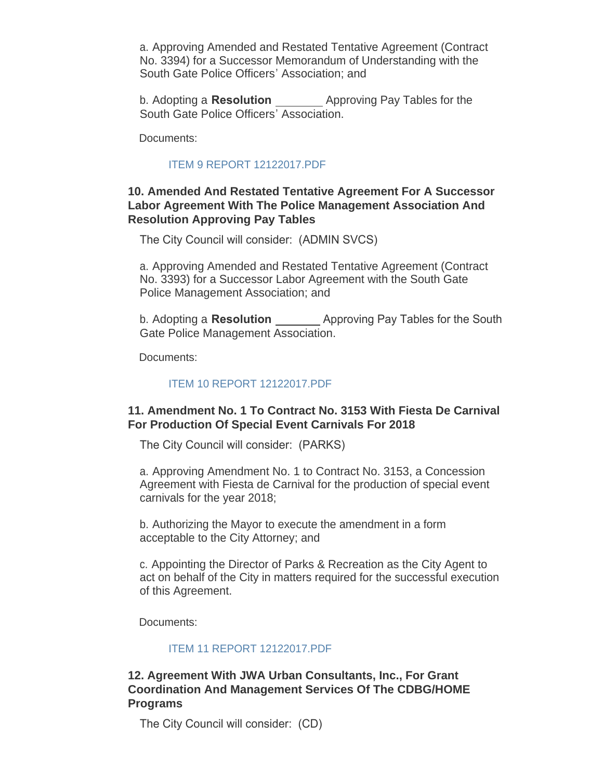a. Approving Amended and Restated Tentative Agreement (Contract No. 3394) for a Successor Memorandum of Understanding with the South Gate Police Officers' Association; and

b. Adopting a **Resolution** Approving Pay Tables for the South Gate Police Officers' Association.

Documents:

#### [ITEM 9 REPORT 12122017.PDF](http://www.cityofsouthgate.org/AgendaCenter/ViewFile/Item/5227?fileID=11162)

#### **10. Amended And Restated Tentative Agreement For A Successor Labor Agreement With The Police Management Association And Resolution Approving Pay Tables**

The City Council will consider: (ADMIN SVCS)

a. Approving Amended and Restated Tentative Agreement (Contract No. 3393) for a Successor Labor Agreement with the South Gate Police Management Association; and

b. Adopting a **Resolution**  Approving Pay Tables for the South Gate Police Management Association.

Documents:

#### [ITEM 10 REPORT 12122017.PDF](http://www.cityofsouthgate.org/AgendaCenter/ViewFile/Item/5228?fileID=11164)

# **11. Amendment No. 1 To Contract No. 3153 With Fiesta De Carnival For Production Of Special Event Carnivals For 2018**

The City Council will consider: (PARKS)

a. Approving Amendment No. 1 to Contract No. 3153, a Concession Agreement with Fiesta de Carnival for the production of special event carnivals for the year 2018;

b. Authorizing the Mayor to execute the amendment in a form acceptable to the City Attorney; and

c. Appointing the Director of Parks & Recreation as the City Agent to act on behalf of the City in matters required for the successful execution of this Agreement.

Documents:

#### [ITEM 11 REPORT 12122017.PDF](http://www.cityofsouthgate.org/AgendaCenter/ViewFile/Item/5206?fileID=11149)

# **12. Agreement With JWA Urban Consultants, Inc., For Grant Coordination And Management Services Of The CDBG/HOME Programs**

The City Council will consider: (CD)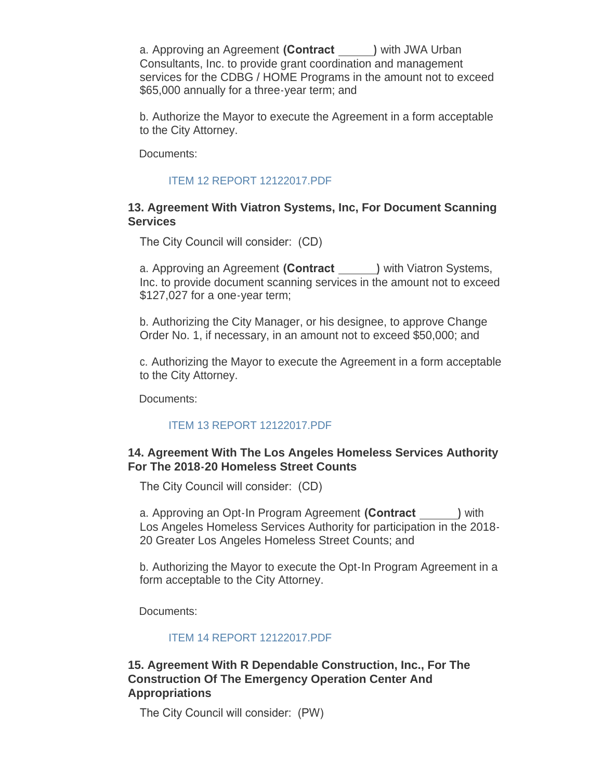a. Approving an Agreement **(Contract )** with JWA Urban Consultants, Inc. to provide grant coordination and management services for the CDBG / HOME Programs in the amount not to exceed \$65,000 annually for a three-year term; and

b. Authorize the Mayor to execute the Agreement in a form acceptable to the City Attorney.

Documents:

## [ITEM 12 REPORT 12122017.PDF](http://www.cityofsouthgate.org/AgendaCenter/ViewFile/Item/5207?fileID=11150)

### **13. Agreement With Viatron Systems, Inc, For Document Scanning Services**

The City Council will consider: (CD)

a. Approving an Agreement **(Contract )** with Viatron Systems, Inc. to provide document scanning services in the amount not to exceed \$127,027 for a one-year term;

b. Authorizing the City Manager, or his designee, to approve Change Order No. 1, if necessary, in an amount not to exceed \$50,000; and

c. Authorizing the Mayor to execute the Agreement in a form acceptable to the City Attorney.

Documents:

# [ITEM 13 REPORT 12122017.PDF](http://www.cityofsouthgate.org/AgendaCenter/ViewFile/Item/5215?fileID=11158)

### **14. Agreement With The Los Angeles Homeless Services Authority For The 2018-20 Homeless Street Counts**

The City Council will consider: (CD)

a. Approving an Opt-In Program Agreement **(Contract )** with Los Angeles Homeless Services Authority for participation in the 2018- 20 Greater Los Angeles Homeless Street Counts; and

b. Authorizing the Mayor to execute the Opt-In Program Agreement in a form acceptable to the City Attorney.

Documents:

### [ITEM 14 REPORT 12122017.PDF](http://www.cityofsouthgate.org/AgendaCenter/ViewFile/Item/5208?fileID=11151)

# **15. Agreement With R Dependable Construction, Inc., For The Construction Of The Emergency Operation Center And Appropriations**

The City Council will consider: (PW)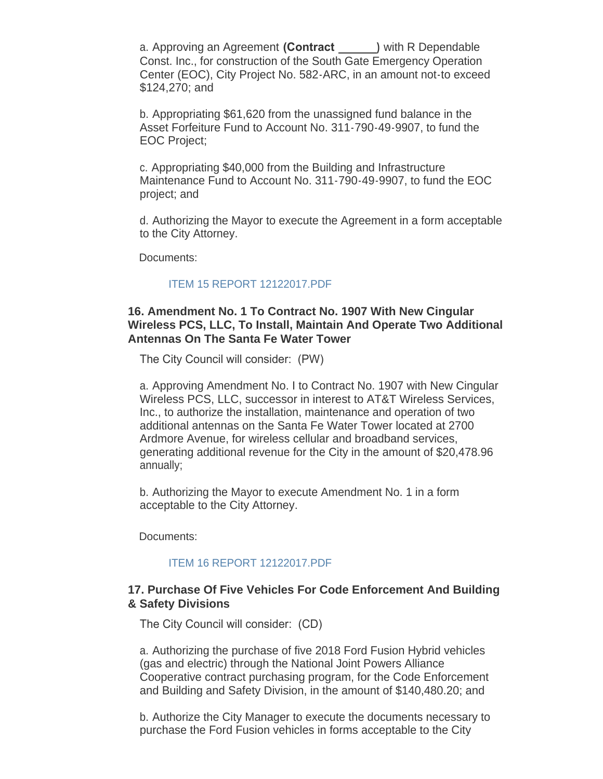a. Approving an Agreement **(Contract )** with R Dependable Const. Inc., for construction of the South Gate Emergency Operation Center (EOC), City Project No. 582-ARC, in an amount not-to exceed \$124,270; and

b. Appropriating \$61,620 from the unassigned fund balance in the Asset Forfeiture Fund to Account No. 311-790-49-9907, to fund the EOC Project;

c. Appropriating \$40,000 from the Building and Infrastructure Maintenance Fund to Account No. 311-790-49-9907, to fund the EOC project; and

d. Authorizing the Mayor to execute the Agreement in a form acceptable to the City Attorney.

Documents:

#### [ITEM 15 REPORT 12122017.PDF](http://www.cityofsouthgate.org/AgendaCenter/ViewFile/Item/5216?fileID=11159)

#### **16. Amendment No. 1 To Contract No. 1907 With New Cingular Wireless PCS, LLC, To Install, Maintain And Operate Two Additional Antennas On The Santa Fe Water Tower**

The City Council will consider: (PW)

a. Approving Amendment No. I to Contract No. 1907 with New Cingular Wireless PCS, LLC, successor in interest to AT&T Wireless Services, Inc., to authorize the installation, maintenance and operation of two additional antennas on the Santa Fe Water Tower located at 2700 Ardmore Avenue, for wireless cellular and broadband services, generating additional revenue for the City in the amount of \$20,478.96 annually;

b. Authorizing the Mayor to execute Amendment No. 1 in a form acceptable to the City Attorney.

Documents:

#### [ITEM 16 REPORT 12122017.PDF](http://www.cityofsouthgate.org/AgendaCenter/ViewFile/Item/5209?fileID=11152)

#### **17. Purchase Of Five Vehicles For Code Enforcement And Building & Safety Divisions**

The City Council will consider: (CD)

a. Authorizing the purchase of five 2018 Ford Fusion Hybrid vehicles (gas and electric) through the National Joint Powers Alliance Cooperative contract purchasing program, for the Code Enforcement and Building and Safety Division, in the amount of \$140,480.20; and

b. Authorize the City Manager to execute the documents necessary to purchase the Ford Fusion vehicles in forms acceptable to the City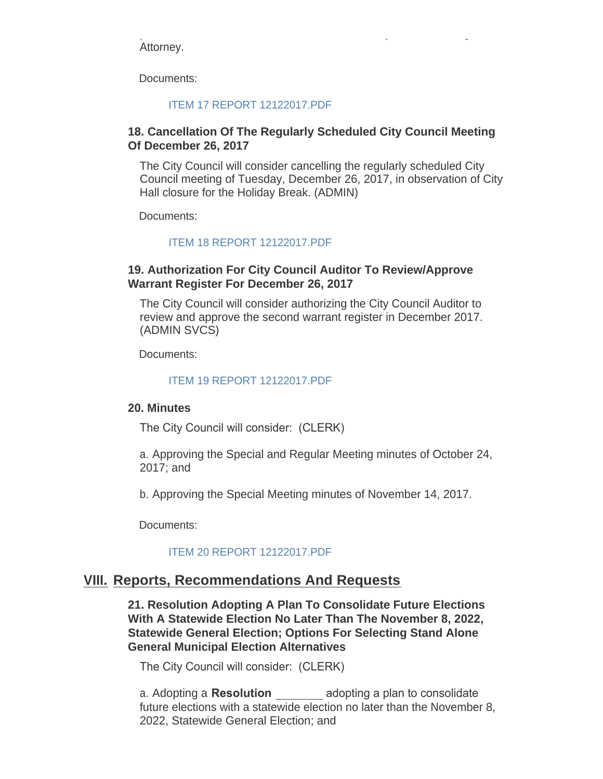purchase the Ford Fusion vehicles in forms acceptable to the City Attorney.

Documents:

#### [ITEM 17 REPORT 12122017.PDF](http://www.cityofsouthgate.org/AgendaCenter/ViewFile/Item/5210?fileID=11153)

## **18. Cancellation Of The Regularly Scheduled City Council Meeting Of December 26, 2017**

The City Council will consider cancelling the regularly scheduled City Council meeting of Tuesday, December 26, 2017, in observation of City Hall closure for the Holiday Break. (ADMIN)

Documents:

### [ITEM 18 REPORT 12122017.PDF](http://www.cityofsouthgate.org/AgendaCenter/ViewFile/Item/5203?fileID=11146)

### **19. Authorization For City Council Auditor To Review/Approve Warrant Register For December 26, 2017**

The City Council will consider authorizing the City Council Auditor to review and approve the second warrant register in December 2017. (ADMIN SVCS)

Documents:

#### [ITEM 19 REPORT 12122017.PDF](http://www.cityofsouthgate.org/AgendaCenter/ViewFile/Item/5204?fileID=11147)

#### **20. Minutes**

The City Council will consider: (CLERK)

a. Approving the Special and Regular Meeting minutes of October 24, 2017; and

b. Approving the Special Meeting minutes of November 14, 2017.

Documents:

### [ITEM 20 REPORT 12122017.PDF](http://www.cityofsouthgate.org/AgendaCenter/ViewFile/Item/5202?fileID=11145)

# **Reports, Recommendations And Requests VIII.**

**21. Resolution Adopting A Plan To Consolidate Future Elections With A Statewide Election No Later Than The November 8, 2022, Statewide General Election; Options For Selecting Stand Alone General Municipal Election Alternatives**

The City Council will consider: (CLERK)

a. Adopting a **Resolution**  adopting a plan to consolidate future elections with a statewide election no later than the November 8, 2022, Statewide General Election; and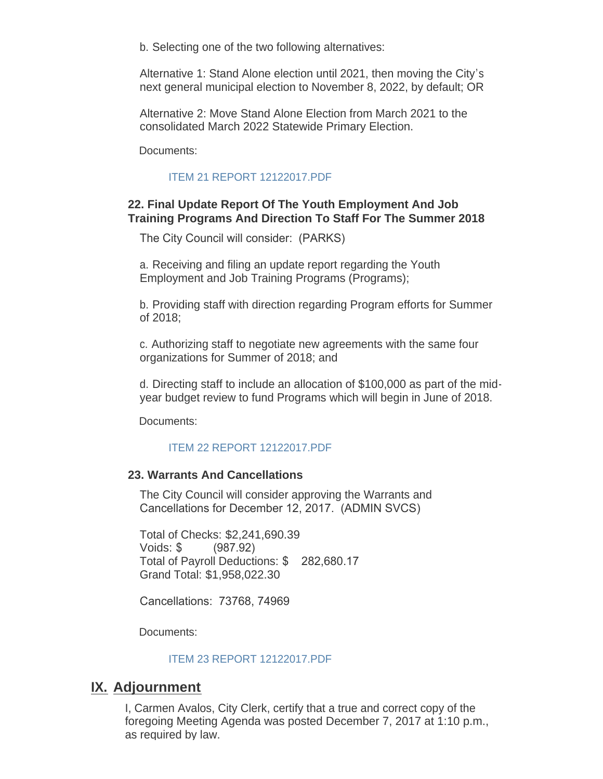b. Selecting one of the two following alternatives:

Alternative 1: Stand Alone election until 2021, then moving the City's next general municipal election to November 8, 2022, by default; OR

Alternative 2: Move Stand Alone Election from March 2021 to the consolidated March 2022 Statewide Primary Election.

Documents:

#### [ITEM 21 REPORT 12122017.PDF](http://www.cityofsouthgate.org/AgendaCenter/ViewFile/Item/5224?fileID=11160)

# **22. Final Update Report Of The Youth Employment And Job Training Programs And Direction To Staff For The Summer 2018**

The City Council will consider: (PARKS)

a. Receiving and filing an update report regarding the Youth Employment and Job Training Programs (Programs);

b. Providing staff with direction regarding Program efforts for Summer of 2018;

c. Authorizing staff to negotiate new agreements with the same four organizations for Summer of 2018; and

d. Directing staff to include an allocation of \$100,000 as part of the midyear budget review to fund Programs which will begin in June of 2018.

Documents:

### [ITEM 22 REPORT 12122017.PDF](http://www.cityofsouthgate.org/AgendaCenter/ViewFile/Item/5211?fileID=11154)

### **23. Warrants And Cancellations**

The City Council will consider approving the Warrants and Cancellations for December 12, 2017. (ADMIN SVCS)

Total of Checks: \$2,241,690.39 Voids: \$ (987.92) Total of Payroll Deductions: \$ 282,680.17 Grand Total: \$1,958,022.30

Cancellations: 73768, 74969

Documents:

#### [ITEM 23 REPORT 12122017.PDF](http://www.cityofsouthgate.org/AgendaCenter/ViewFile/Item/5205?fileID=11148)

# **IX. Adjournment**

I, Carmen Avalos, City Clerk, certify that a true and correct copy of the foregoing Meeting Agenda was posted December 7, 2017 at 1:10 p.m., as required by law.